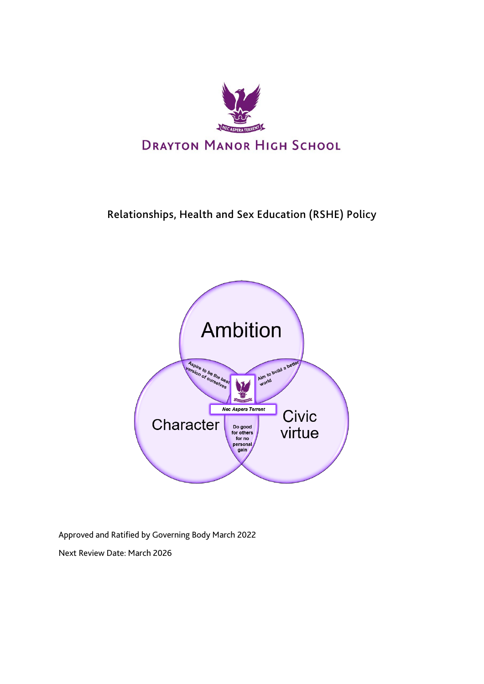

# Relationships, Health and Sex Education (RSHE) Policy



Approved and Ratified by Governing Body March 2022

Next Review Date: March 2026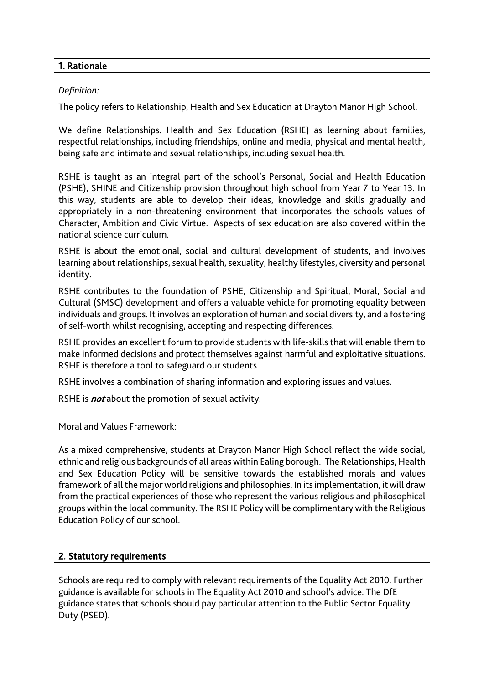#### 1. Rationale

#### *Definition:*

The policy refers to Relationship, Health and Sex Education at Drayton Manor High School.

We define Relationships. Health and Sex Education (RSHE) as learning about families, respectful relationships, including friendships, online and media, physical and mental health, being safe and intimate and sexual relationships, including sexual health.

RSHE is taught as an integral part of the school's Personal, Social and Health Education (PSHE), SHINE and Citizenship provision throughout high school from Year 7 to Year 13. In this way, students are able to develop their ideas, knowledge and skills gradually and appropriately in a non-threatening environment that incorporates the schools values of Character, Ambition and Civic Virtue. Aspects of sex education are also covered within the national science curriculum.

RSHE is about the emotional, social and cultural development of students, and involves learning about relationships, sexual health, sexuality, healthy lifestyles, diversity and personal identity.

RSHE contributes to the foundation of PSHE, Citizenship and Spiritual, Moral, Social and Cultural (SMSC) development and offers a valuable vehicle for promoting equality between individuals and groups. It involves an exploration of human and social diversity, and a fostering of self-worth whilst recognising, accepting and respecting differences.

RSHE provides an excellent forum to provide students with life-skills that will enable them to make informed decisions and protect themselves against harmful and exploitative situations. RSHE is therefore a tool to safeguard our students.

RSHE involves a combination of sharing information and exploring issues and values.

RSHE is *not* about the promotion of sexual activity.

Moral and Values Framework:

As a mixed comprehensive, students at Drayton Manor High School reflect the wide social, ethnic and religious backgrounds of all areas within Ealing borough. The Relationships, Health and Sex Education Policy will be sensitive towards the established morals and values framework of all the major world religions and philosophies. In its implementation, it will draw from the practical experiences of those who represent the various religious and philosophical groups within the local community. The RSHE Policy will be complimentary with the Religious Education Policy of our school.

# 2. Statutory requirements

Schools are required to comply with relevant requirements of the Equality Act 2010. Further guidance is available for schools in The Equality Act 2010 and school's advice. The DfE guidance states that schools should pay particular attention to the Public Sector Equality Duty (PSED).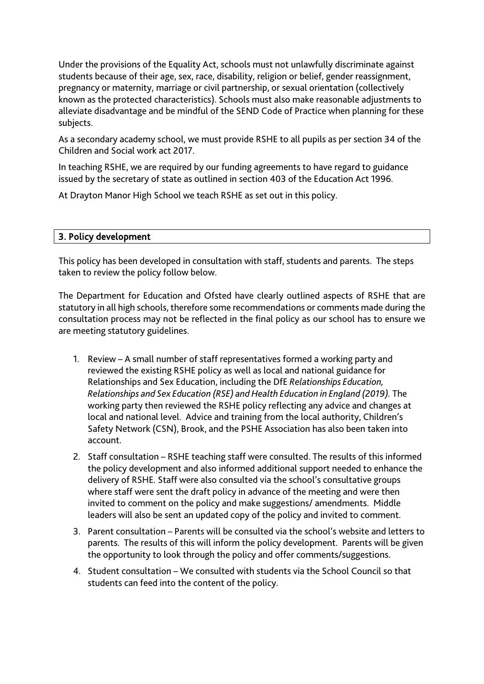Under the provisions of the Equality Act, schools must not unlawfully discriminate against students because of their age, sex, race, disability, religion or belief, gender reassignment, pregnancy or maternity, marriage or civil partnership, or sexual orientation (collectively known as the protected characteristics). Schools must also make reasonable adjustments to alleviate disadvantage and be mindful of the SEND Code of Practice when planning for these subjects.

As a secondary academy school, we must provide RSHE to all pupils as per section 34 of the Children and Social work act 2017.

In teaching RSHE, we are required by our funding agreements to have regard to guidance issued by the secretary of state as outlined in section 403 of the Education Act 1996.

At Drayton Manor High School we teach RSHE as set out in this policy.

# 3. Policy development

This policy has been developed in consultation with staff, students and parents. The steps taken to review the policy follow below.

The Department for Education and Ofsted have clearly outlined aspects of RSHE that are statutory in all high schools, therefore some recommendations or comments made during the consultation process may not be reflected in the final policy as our school has to ensure we are meeting statutory guidelines.

- 1. Review A small number of staff representatives formed a working party and reviewed the existing RSHE policy as well as local and national guidance for Relationships and Sex Education, including the DfE *Relationships Education, Relationships and Sex Education (RSE) and Health Education in England (2019).* The working party then reviewed the RSHE policy reflecting any advice and changes at local and national level. Advice and training from the local authority, Children's Safety Network (CSN), Brook, and the PSHE Association has also been taken into account.
- 2. Staff consultation RSHE teaching staff were consulted. The results of this informed the policy development and also informed additional support needed to enhance the delivery of RSHE. Staff were also consulted via the school's consultative groups where staff were sent the draft policy in advance of the meeting and were then invited to comment on the policy and make suggestions/ amendments. Middle leaders will also be sent an updated copy of the policy and invited to comment.
- 3. Parent consultation Parents will be consulted via the school's website and letters to parents. The results of this will inform the policy development. Parents will be given the opportunity to look through the policy and offer comments/suggestions.
- 4. Student consultation We consulted with students via the School Council so that students can feed into the content of the policy.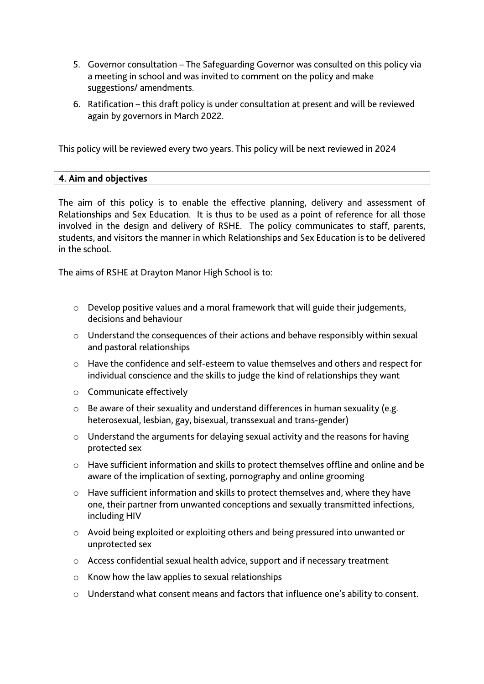- 5. Governor consultation The Safeguarding Governor was consulted on this policy via a meeting in school and was invited to comment on the policy and make suggestions/ amendments.
- 6. Ratification this draft policy is under consultation at present and will be reviewed again by governors in March 2022.

This policy will be reviewed every two years. This policy will be next reviewed in 2024

# 4. Aim and objectives

The aim of this policy is to enable the effective planning, delivery and assessment of Relationships and Sex Education. It is thus to be used as a point of reference for all those involved in the design and delivery of RSHE. The policy communicates to staff, parents, students, and visitors the manner in which Relationships and Sex Education is to be delivered in the school.

The aims of RSHE at Drayton Manor High School is to:

- o Develop positive values and a moral framework that will guide their judgements, decisions and behaviour
- o Understand the consequences of their actions and behave responsibly within sexual and pastoral relationships
- o Have the confidence and self-esteem to value themselves and others and respect for individual conscience and the skills to judge the kind of relationships they want
- o Communicate effectively
- o Be aware of their sexuality and understand differences in human sexuality (e.g. heterosexual, lesbian, gay, bisexual, transsexual and trans-gender)
- o Understand the arguments for delaying sexual activity and the reasons for having protected sex
- o Have sufficient information and skills to protect themselves offline and online and be aware of the implication of sexting, pornography and online grooming
- o Have sufficient information and skills to protect themselves and, where they have one, their partner from unwanted conceptions and sexually transmitted infections, including HIV
- o Avoid being exploited or exploiting others and being pressured into unwanted or unprotected sex
- o Access confidential sexual health advice, support and if necessary treatment
- $\circ$  Know how the law applies to sexual relationships
- o Understand what consent means and factors that influence one's ability to consent.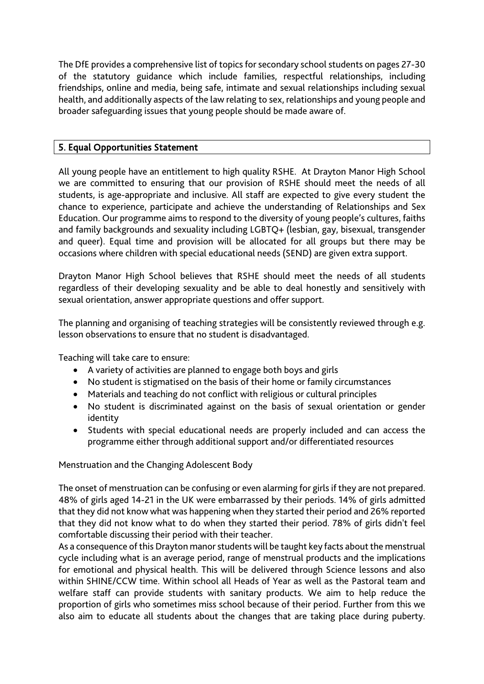The DfE provides a comprehensive list of topics for secondary school students on pages 27-30 of the statutory guidance which include families, respectful relationships, including friendships, online and media, being safe, intimate and sexual relationships including sexual health, and additionally aspects of the law relating to sex, relationships and young people and broader safeguarding issues that young people should be made aware of.

# 5. Equal Opportunities Statement

All young people have an entitlement to high quality RSHE. At Drayton Manor High School we are committed to ensuring that our provision of RSHE should meet the needs of all students, is age-appropriate and inclusive. All staff are expected to give every student the chance to experience, participate and achieve the understanding of Relationships and Sex Education. Our programme aims to respond to the diversity of young people's cultures, faiths and family backgrounds and sexuality including LGBTQ+ (lesbian, gay, bisexual, transgender and queer). Equal time and provision will be allocated for all groups but there may be occasions where children with special educational needs (SEND) are given extra support.

Drayton Manor High School believes that RSHE should meet the needs of all students regardless of their developing sexuality and be able to deal honestly and sensitively with sexual orientation, answer appropriate questions and offer support.

The planning and organising of teaching strategies will be consistently reviewed through e.g. lesson observations to ensure that no student is disadvantaged.

Teaching will take care to ensure:

- A variety of activities are planned to engage both boys and girls
- No student is stigmatised on the basis of their home or family circumstances
- Materials and teaching do not conflict with religious or cultural principles
- No student is discriminated against on the basis of sexual orientation or gender identity
- Students with special educational needs are properly included and can access the programme either through additional support and/or differentiated resources

Menstruation and the Changing Adolescent Body

The onset of menstruation can be confusing or even alarming for girls if they are not prepared. 48% of girls aged 14-21 in the UK were embarrassed by their periods. 14% of girls admitted that they did not know what was happening when they started their period and 26% reported that they did not know what to do when they started their period. 78% of girls didn't feel comfortable discussing their period with their teacher.

As a consequence of this Drayton manor students will be taught key facts about the menstrual cycle including what is an average period, range of menstrual products and the implications for emotional and physical health. This will be delivered through Science lessons and also within SHINE/CCW time. Within school all Heads of Year as well as the Pastoral team and welfare staff can provide students with sanitary products. We aim to help reduce the proportion of girls who sometimes miss school because of their period. Further from this we also aim to educate all students about the changes that are taking place during puberty.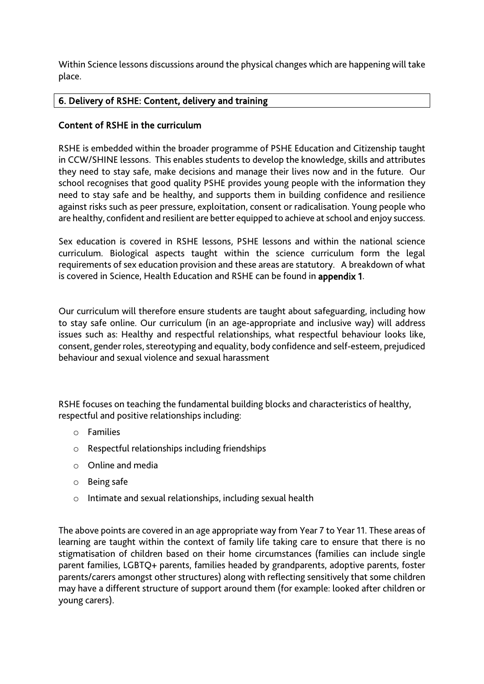Within Science lessons discussions around the physical changes which are happening will take place.

# 6. Delivery of RSHE: Content, delivery and training

# Content of RSHE in the curriculum

RSHE is embedded within the broader programme of PSHE Education and Citizenship taught in CCW/SHINE lessons. This enables students to develop the knowledge, skills and attributes they need to stay safe, make decisions and manage their lives now and in the future. Our school recognises that good quality PSHE provides young people with the information they need to stay safe and be healthy, and supports them in building confidence and resilience against risks such as peer pressure, exploitation, consent or radicalisation. Young people who are healthy, confident and resilient are better equipped to achieve at school and enjoy success.

Sex education is covered in RSHE lessons, PSHE lessons and within the national science curriculum. Biological aspects taught within the science curriculum form the legal requirements of sex education provision and these areas are statutory. A breakdown of what is covered in Science, Health Education and RSHE can be found in appendix 1.

Our curriculum will therefore ensure students are taught about safeguarding, including how to stay safe online. Our curriculum (in an age-appropriate and inclusive way) will address issues such as: Healthy and respectful relationships, what respectful behaviour looks like, consent, gender roles, stereotyping and equality, body confidence and self-esteem, prejudiced behaviour and sexual violence and sexual harassment

RSHE focuses on teaching the fundamental building blocks and characteristics of healthy, respectful and positive relationships including:

- o Families
- o Respectful relationships including friendships
- o Online and media
- o Being safe
- o Intimate and sexual relationships, including sexual health

The above points are covered in an age appropriate way from Year 7 to Year 11. These areas of learning are taught within the context of family life taking care to ensure that there is no stigmatisation of children based on their home circumstances (families can include single parent families, LGBTQ+ parents, families headed by grandparents, adoptive parents, foster parents/carers amongst other structures) along with reflecting sensitively that some children may have a different structure of support around them (for example: looked after children or young carers).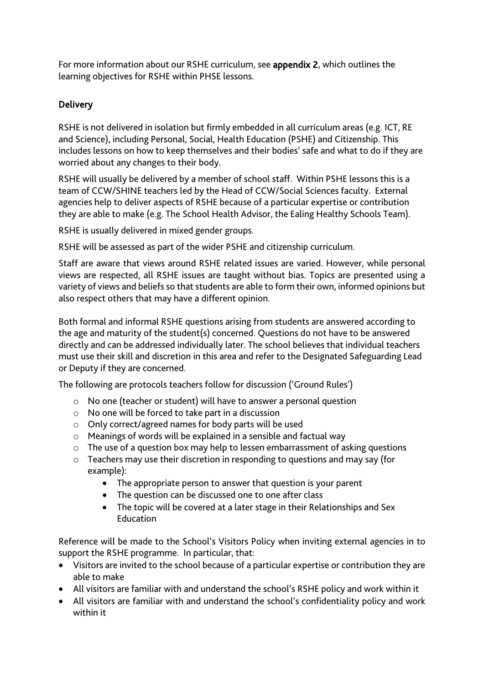For more information about our RSHE curriculum, see appendix 2, which outlines the learning objectives for RSHE within PHSE lessons.

# Delivery

RSHE is not delivered in isolation but firmly embedded in all curriculum areas (e.g. ICT, RE and Science), including Personal, Social, Health Education (PSHE) and Citizenship. This includes lessons on how to keep themselves and their bodies' safe and what to do if they are worried about any changes to their body.

RSHE will usually be delivered by a member of school staff. Within PSHE lessons this is a team of CCW/SHINE teachers led by the Head of CCW/Social Sciences faculty. External agencies help to deliver aspects of RSHE because of a particular expertise or contribution they are able to make (e.g. The School Health Advisor, the Ealing Healthy Schools Team).

RSHE is usually delivered in mixed gender groups.

RSHE will be assessed as part of the wider PSHE and citizenship curriculum.

Staff are aware that views around RSHE related issues are varied. However, while personal views are respected, all RSHE issues are taught without bias. Topics are presented using a variety of views and beliefs so that students are able to form their own, informed opinions but also respect others that may have a different opinion.

Both formal and informal RSHE questions arising from students are answered according to the age and maturity of the student(s) concerned. Questions do not have to be answered directly and can be addressed individually later. The school believes that individual teachers must use their skill and discretion in this area and refer to the Designated Safeguarding Lead or Deputy if they are concerned.

The following are protocols teachers follow for discussion ('Ground Rules')

- o No one (teacher or student) will have to answer a personal question
- o No one will be forced to take part in a discussion
- o Only correct/agreed names for body parts will be used
- o Meanings of words will be explained in a sensible and factual way
- o The use of a question box may help to lessen embarrassment of asking questions
- o Teachers may use their discretion in responding to questions and may say (for example):
	- The appropriate person to answer that question is your parent
	- The question can be discussed one to one after class
	- The topic will be covered at a later stage in their Relationships and Sex Education

Reference will be made to the School's Visitors Policy when inviting external agencies in to support the RSHE programme. In particular, that:

- Visitors are invited to the school because of a particular expertise or contribution they are able to make
- All visitors are familiar with and understand the school's RSHE policy and work within it
- All visitors are familiar with and understand the school's confidentiality policy and work within it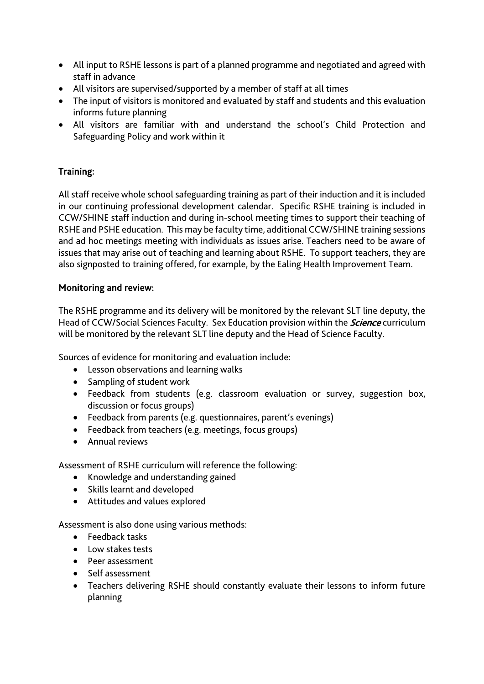- All input to RSHE lessons is part of a planned programme and negotiated and agreed with staff in advance
- All visitors are supervised/supported by a member of staff at all times
- The input of visitors is monitored and evaluated by staff and students and this evaluation informs future planning
- All visitors are familiar with and understand the school's Child Protection and Safeguarding Policy and work within it

# Training:

All staff receive whole school safeguarding training as part of their induction and it is included in our continuing professional development calendar. Specific RSHE training is included in CCW/SHINE staff induction and during in-school meeting times to support their teaching of RSHE and PSHE education. This may be faculty time, additional CCW/SHINE training sessions and ad hoc meetings meeting with individuals as issues arise. Teachers need to be aware of issues that may arise out of teaching and learning about RSHE. To support teachers, they are also signposted to training offered, for example, by the Ealing Health Improvement Team.

# Monitoring and review:

The RSHE programme and its delivery will be monitored by the relevant SLT line deputy, the Head of CCW/Social Sciences Faculty. Sex Education provision within the *Science* curriculum will be monitored by the relevant SLT line deputy and the Head of Science Faculty.

Sources of evidence for monitoring and evaluation include:

- Lesson observations and learning walks
- Sampling of student work
- Feedback from students (e.g. classroom evaluation or survey, suggestion box, discussion or focus groups)
- Feedback from parents (e.g. questionnaires, parent's evenings)
- Feedback from teachers (e.g. meetings, focus groups)
- Annual reviews

Assessment of RSHE curriculum will reference the following:

- Knowledge and understanding gained
- Skills learnt and developed
- Attitudes and values explored

Assessment is also done using various methods:

- Feedback tasks
- Low stakes tests
- Peer assessment
- Self assessment
- Teachers delivering RSHE should constantly evaluate their lessons to inform future planning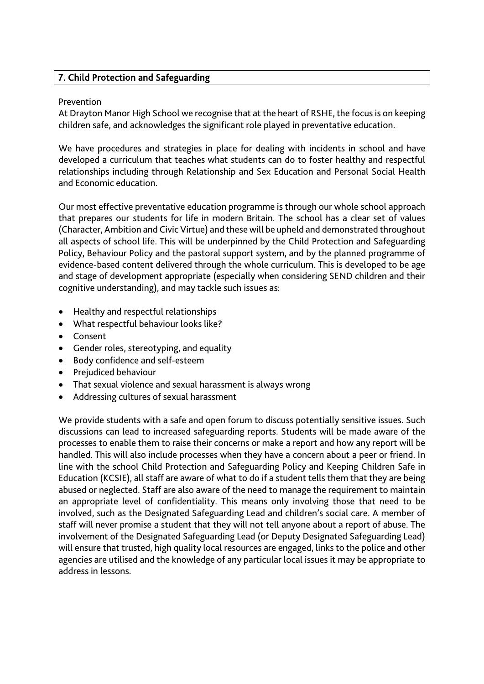# 7. Child Protection and Safeguarding

#### Prevention

At Drayton Manor High School we recognise that at the heart of RSHE, the focus is on keeping children safe, and acknowledges the significant role played in preventative education.

We have procedures and strategies in place for dealing with incidents in school and have developed a curriculum that teaches what students can do to foster healthy and respectful relationships including through Relationship and Sex Education and Personal Social Health and Economic education.

Our most effective preventative education programme is through our whole school approach that prepares our students for life in modern Britain. The school has a clear set of values (Character, Ambition and Civic Virtue) and these will be upheld and demonstrated throughout all aspects of school life. This will be underpinned by the Child Protection and Safeguarding Policy, Behaviour Policy and the pastoral support system, and by the planned programme of evidence-based content delivered through the whole curriculum. This is developed to be age and stage of development appropriate (especially when considering SEND children and their cognitive understanding), and may tackle such issues as:

- Healthy and respectful relationships
- What respectful behaviour looks like?
- Consent
- Gender roles, stereotyping, and equality
- Body confidence and self-esteem
- Prejudiced behaviour
- That sexual violence and sexual harassment is always wrong
- Addressing cultures of sexual harassment

We provide students with a safe and open forum to discuss potentially sensitive issues. Such discussions can lead to increased safeguarding reports. Students will be made aware of the processes to enable them to raise their concerns or make a report and how any report will be handled. This will also include processes when they have a concern about a peer or friend. In line with the school Child Protection and Safeguarding Policy and Keeping Children Safe in Education (KCSIE), all staff are aware of what to do if a student tells them that they are being abused or neglected. Staff are also aware of the need to manage the requirement to maintain an appropriate level of confidentiality. This means only involving those that need to be involved, such as the Designated Safeguarding Lead and children's social care. A member of staff will never promise a student that they will not tell anyone about a report of abuse. The involvement of the Designated Safeguarding Lead (or Deputy Designated Safeguarding Lead) will ensure that trusted, high quality local resources are engaged, links to the police and other agencies are utilised and the knowledge of any particular local issues it may be appropriate to address in lessons.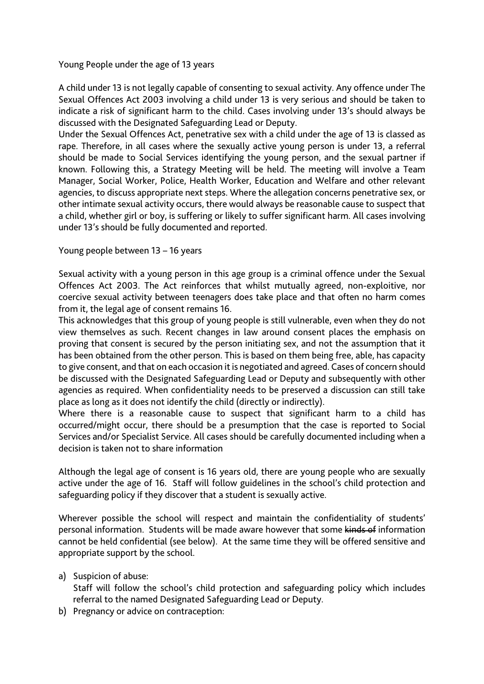Young People under the age of 13 years

A child under 13 is not legally capable of consenting to sexual activity. Any offence under The Sexual Offences Act 2003 involving a child under 13 is very serious and should be taken to indicate a risk of significant harm to the child. Cases involving under 13's should always be discussed with the Designated Safeguarding Lead or Deputy.

Under the Sexual Offences Act, penetrative sex with a child under the age of 13 is classed as rape. Therefore, in all cases where the sexually active young person is under 13, a referral should be made to Social Services identifying the young person, and the sexual partner if known. Following this, a Strategy Meeting will be held. The meeting will involve a Team Manager, Social Worker, Police, Health Worker, Education and Welfare and other relevant agencies, to discuss appropriate next steps. Where the allegation concerns penetrative sex, or other intimate sexual activity occurs, there would always be reasonable cause to suspect that a child, whether girl or boy, is suffering or likely to suffer significant harm. All cases involving under 13's should be fully documented and reported.

Young people between 13 – 16 years

Sexual activity with a young person in this age group is a criminal offence under the Sexual Offences Act 2003. The Act reinforces that whilst mutually agreed, non-exploitive, nor coercive sexual activity between teenagers does take place and that often no harm comes from it, the legal age of consent remains 16.

This acknowledges that this group of young people is still vulnerable, even when they do not view themselves as such. Recent changes in law around consent places the emphasis on proving that consent is secured by the person initiating sex, and not the assumption that it has been obtained from the other person. This is based on them being free, able, has capacity to give consent, and that on each occasion it is negotiated and agreed. Cases of concern should be discussed with the Designated Safeguarding Lead or Deputy and subsequently with other agencies as required. When confidentiality needs to be preserved a discussion can still take place as long as it does not identify the child (directly or indirectly).

Where there is a reasonable cause to suspect that significant harm to a child has occurred/might occur, there should be a presumption that the case is reported to Social Services and/or Specialist Service. All cases should be carefully documented including when a decision is taken not to share information

Although the legal age of consent is 16 years old, there are young people who are sexually active under the age of 16. Staff will follow guidelines in the school's child protection and safeguarding policy if they discover that a student is sexually active.

Wherever possible the school will respect and maintain the confidentiality of students' personal information. Students will be made aware however that some kinds of information cannot be held confidential (see below). At the same time they will be offered sensitive and appropriate support by the school.

a) Suspicion of abuse:

Staff will follow the school's child protection and safeguarding policy which includes referral to the named Designated Safeguarding Lead or Deputy.

b) Pregnancy or advice on contraception: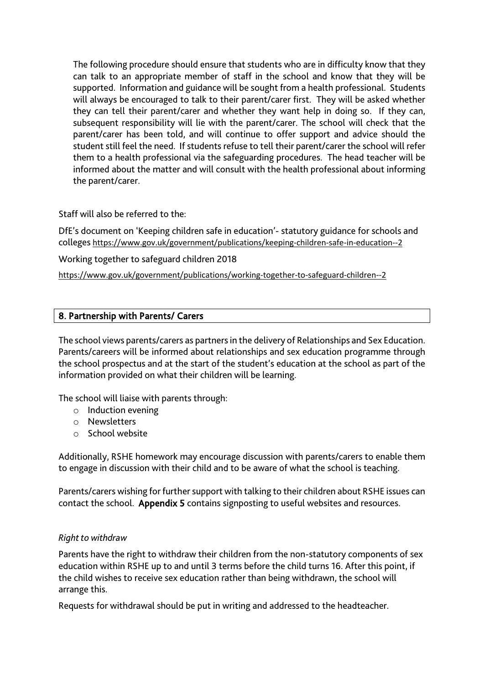The following procedure should ensure that students who are in difficulty know that they can talk to an appropriate member of staff in the school and know that they will be supported. Information and guidance will be sought from a health professional. Students will always be encouraged to talk to their parent/carer first. They will be asked whether they can tell their parent/carer and whether they want help in doing so. If they can, subsequent responsibility will lie with the parent/carer. The school will check that the parent/carer has been told, and will continue to offer support and advice should the student still feel the need. If students refuse to tell their parent/carer the school will refer them to a health professional via the safeguarding procedures. The head teacher will be informed about the matter and will consult with the health professional about informing the parent/carer.

Staff will also be referred to the:

DfE's document on 'Keeping children safe in education'- statutory guidance for schools and colleges <https://www.gov.uk/government/publications/keeping-children-safe-in-education--2>

Working together to safeguard children 2018

<https://www.gov.uk/government/publications/working-together-to-safeguard-children--2>

# 8. Partnership with Parents/ Carers

The school views parents/carers as partners in the delivery of Relationships and Sex Education. Parents/careers will be informed about relationships and sex education programme through the school prospectus and at the start of the student's education at the school as part of the information provided on what their children will be learning.

The school will liaise with parents through:

- o Induction evening
- o Newsletters
- o School website

Additionally, RSHE homework may encourage discussion with parents/carers to enable them to engage in discussion with their child and to be aware of what the school is teaching.

Parents/carers wishing for further support with talking to their children about RSHE issues can contact the school. Appendix 5 contains signposting to useful websites and resources.

# *Right to withdraw*

Parents have the right to withdraw their children from the non-statutory components of sex education within RSHE up to and until 3 terms before the child turns 16. After this point, if the child wishes to receive sex education rather than being withdrawn, the school will arrange this.

Requests for withdrawal should be put in writing and addressed to the headteacher.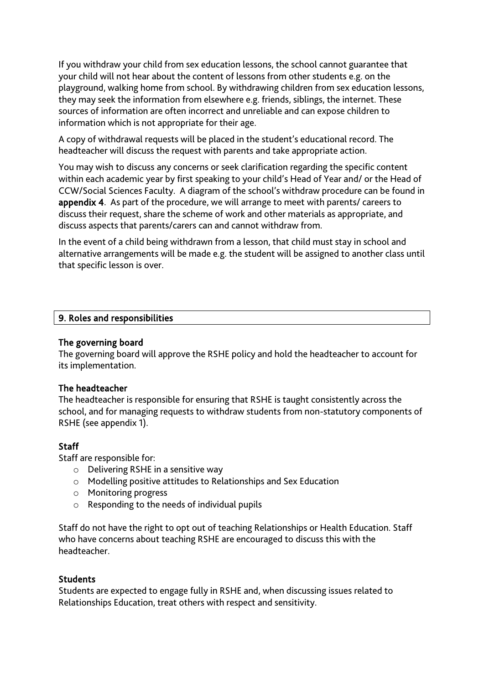If you withdraw your child from sex education lessons, the school cannot guarantee that your child will not hear about the content of lessons from other students e.g. on the playground, walking home from school. By withdrawing children from sex education lessons, they may seek the information from elsewhere e.g. friends, siblings, the internet. These sources of information are often incorrect and unreliable and can expose children to information which is not appropriate for their age.

A copy of withdrawal requests will be placed in the student's educational record. The headteacher will discuss the request with parents and take appropriate action.

You may wish to discuss any concerns or seek clarification regarding the specific content within each academic year by first speaking to your child's Head of Year and/ or the Head of CCW/Social Sciences Faculty. A diagram of the school's withdraw procedure can be found in appendix 4. As part of the procedure, we will arrange to meet with parents/ careers to discuss their request, share the scheme of work and other materials as appropriate, and discuss aspects that parents/carers can and cannot withdraw from.

In the event of a child being withdrawn from a lesson, that child must stay in school and alternative arrangements will be made e.g. the student will be assigned to another class until that specific lesson is over.

#### 9. Roles and responsibilities

#### The governing board

The governing board will approve the RSHE policy and hold the headteacher to account for its implementation.

# The headteacher

The headteacher is responsible for ensuring that RSHE is taught consistently across the school, and for managing requests to withdraw students from non-statutory components of RSHE (see appendix 1).

# **Staff**

Staff are responsible for:

- o Delivering RSHE in a sensitive way
- o Modelling positive attitudes to Relationships and Sex Education
- o Monitoring progress
- o Responding to the needs of individual pupils

Staff do not have the right to opt out of teaching Relationships or Health Education. Staff who have concerns about teaching RSHE are encouraged to discuss this with the headteacher.

#### **Students**

Students are expected to engage fully in RSHE and, when discussing issues related to Relationships Education, treat others with respect and sensitivity.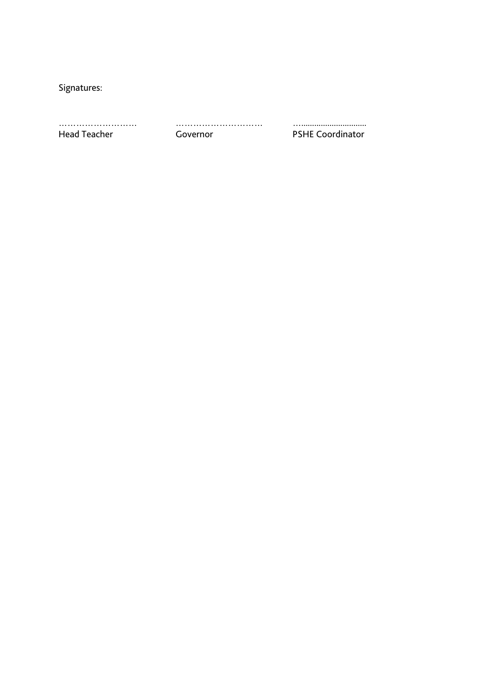Signatures:

……………………… ………………………… ….............................. Governor **PSHE Coordinator**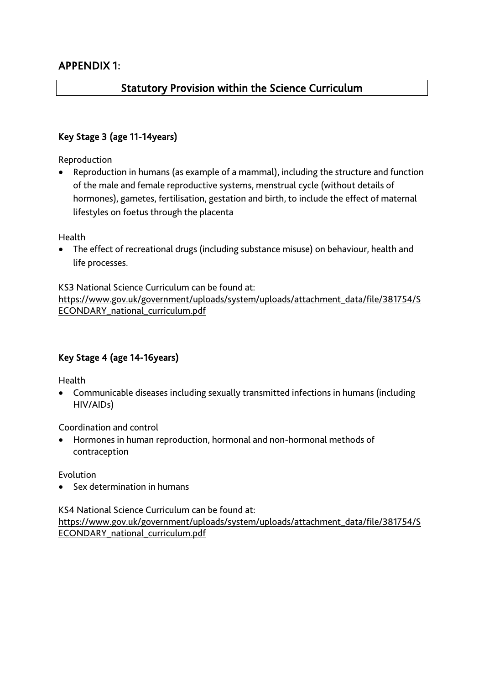# Statutory Provision within the Science Curriculum

# Key Stage 3 (age 11-14years)

Reproduction

• Reproduction in humans (as example of a mammal), including the structure and function of the male and female reproductive systems, menstrual cycle (without details of hormones), gametes, fertilisation, gestation and birth, to include the effect of maternal lifestyles on foetus through the placenta

**Health** 

• The effect of recreational drugs (including substance misuse) on behaviour, health and life processes.

KS3 National Science Curriculum can be found at:

[https://www.gov.uk/government/uploads/system/uploads/attachment\\_data/file/381754/S](https://www.gov.uk/government/uploads/system/uploads/attachment_data/file/381754/SECONDARY_national_curriculum.pdf) [ECONDARY\\_national\\_curriculum.pdf](https://www.gov.uk/government/uploads/system/uploads/attachment_data/file/381754/SECONDARY_national_curriculum.pdf)

# Key Stage 4 (age 14-16years)

Health

• Communicable diseases including sexually transmitted infections in humans (including HIV/AIDs)

Coordination and control

• Hormones in human reproduction, hormonal and non-hormonal methods of contraception

Evolution

• Sex determination in humans

KS4 National Science Curriculum can be found at: [https://www.gov.uk/government/uploads/system/uploads/attachment\\_data/file/381754/S](https://www.gov.uk/government/uploads/system/uploads/attachment_data/file/381754/SECONDARY_national_curriculum.pdf) [ECONDARY\\_national\\_curriculum.pdf](https://www.gov.uk/government/uploads/system/uploads/attachment_data/file/381754/SECONDARY_national_curriculum.pdf)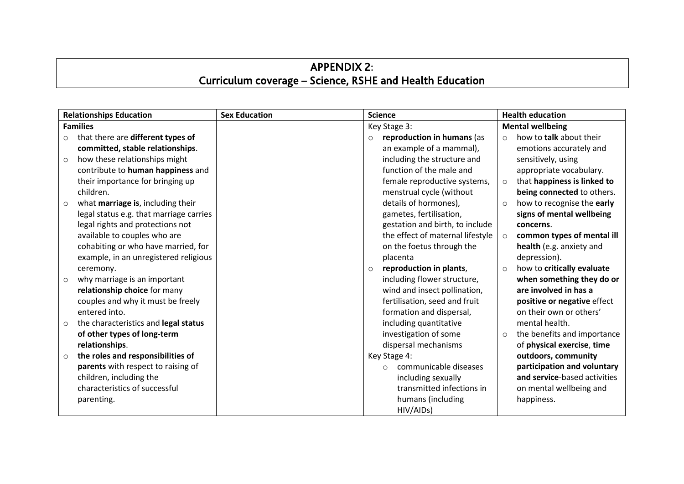# APPENDIX 2: Curriculum coverage – Science, RSHE and Health Education

|         | <b>Relationships Education</b>          | <b>Sex Education</b> | <b>Science</b> |                                  | <b>Health education</b> |                              |  |
|---------|-----------------------------------------|----------------------|----------------|----------------------------------|-------------------------|------------------------------|--|
|         | <b>Families</b>                         |                      |                | Key Stage 3:                     | <b>Mental wellbeing</b> |                              |  |
| $\circ$ | that there are different types of       |                      | $\circ$        | reproduction in humans (as       | $\circ$                 | how to talk about their      |  |
|         | committed, stable relationships.        |                      |                | an example of a mammal),         |                         | emotions accurately and      |  |
| $\circ$ | how these relationships might           |                      |                | including the structure and      |                         | sensitively, using           |  |
|         | contribute to human happiness and       |                      |                | function of the male and         |                         | appropriate vocabulary.      |  |
|         | their importance for bringing up        |                      |                | female reproductive systems,     | $\circ$                 | that happiness is linked to  |  |
|         | children.                               |                      |                | menstrual cycle (without         |                         | being connected to others.   |  |
| $\circ$ | what marriage is, including their       |                      |                | details of hormones),            | $\circ$                 | how to recognise the early   |  |
|         | legal status e.g. that marriage carries |                      |                | gametes, fertilisation,          |                         | signs of mental wellbeing    |  |
|         | legal rights and protections not        |                      |                | gestation and birth, to include  |                         | concerns.                    |  |
|         | available to couples who are            |                      |                | the effect of maternal lifestyle | $\circ$                 | common types of mental ill   |  |
|         | cohabiting or who have married, for     |                      |                | on the foetus through the        |                         | health (e.g. anxiety and     |  |
|         | example, in an unregistered religious   |                      |                | placenta                         |                         | depression).                 |  |
|         | ceremony.                               |                      | $\circ$        | reproduction in plants,          | $\circ$                 | how to critically evaluate   |  |
| $\circ$ | why marriage is an important            |                      |                | including flower structure,      |                         | when something they do or    |  |
|         | relationship choice for many            |                      |                | wind and insect pollination,     |                         | are involved in has a        |  |
|         | couples and why it must be freely       |                      |                | fertilisation, seed and fruit    |                         | positive or negative effect  |  |
|         | entered into.                           |                      |                | formation and dispersal,         |                         | on their own or others'      |  |
| $\circ$ | the characteristics and legal status    |                      |                | including quantitative           |                         | mental health.               |  |
|         | of other types of long-term             |                      |                | investigation of some            | $\circ$                 | the benefits and importance  |  |
|         | relationships.                          |                      |                | dispersal mechanisms             |                         | of physical exercise, time   |  |
| $\circ$ | the roles and responsibilities of       |                      |                | Key Stage 4:                     |                         | outdoors, community          |  |
|         | parents with respect to raising of      |                      |                | communicable diseases<br>$\circ$ |                         | participation and voluntary  |  |
|         | children, including the                 |                      |                | including sexually               |                         | and service-based activities |  |
|         | characteristics of successful           |                      |                | transmitted infections in        |                         | on mental wellbeing and      |  |
|         | parenting.                              |                      |                | humans (including                |                         | happiness.                   |  |
|         |                                         |                      |                | HIV/AIDs)                        |                         |                              |  |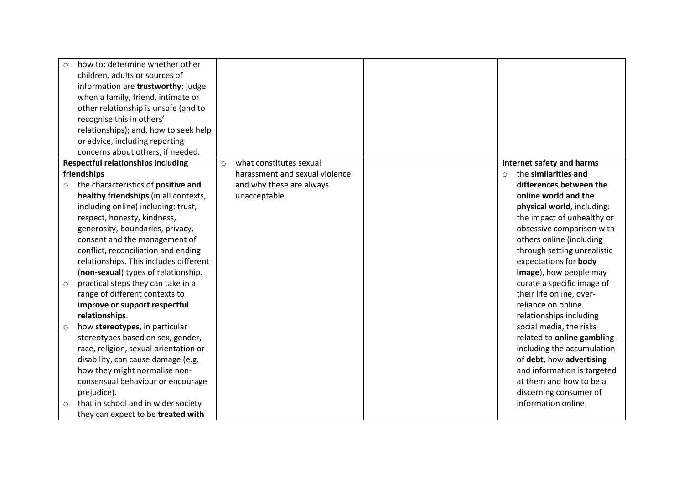| how to: determine whether other                |                                    |                                 |
|------------------------------------------------|------------------------------------|---------------------------------|
| children, adults or sources of                 |                                    |                                 |
| information are trustworthy: judge             |                                    |                                 |
| when a family, friend, intimate or             |                                    |                                 |
| other relationship is unsafe (and to           |                                    |                                 |
| recognise this in others'                      |                                    |                                 |
| relationships); and, how to seek help          |                                    |                                 |
| or advice, including reporting                 |                                    |                                 |
| concerns about others, if needed.              |                                    |                                 |
| <b>Respectful relationships including</b>      | what constitutes sexual<br>$\circ$ | Internet safety and harms       |
| friendships                                    | harassment and sexual violence     | the similarities and<br>$\circ$ |
| the characteristics of positive and            | and why these are always           | differences between the         |
| healthy friendships (in all contexts,          | unacceptable.                      | online world and the            |
| including online) including: trust,            |                                    | physical world, including:      |
| respect, honesty, kindness,                    |                                    | the impact of unhealthy or      |
| generosity, boundaries, privacy,               |                                    | obsessive comparison with       |
| consent and the management of                  |                                    | others online (including        |
| conflict, reconciliation and ending            |                                    | through setting unrealistic     |
| relationships. This includes different         |                                    | expectations for body           |
| (non-sexual) types of relationship.            |                                    | image), how people may          |
| practical steps they can take in a<br>$\circ$  |                                    | curate a specific image of      |
| range of different contexts to                 |                                    | their life online, over-        |
| improve or support respectful                  |                                    | reliance on online              |
| relationships.                                 |                                    | relationships including         |
| how stereotypes, in particular<br>$\circ$      |                                    | social media, the risks         |
| stereotypes based on sex, gender,              |                                    | related to online gambling      |
| race, religion, sexual orientation or          |                                    | including the accumulation      |
| disability, can cause damage (e.g.             |                                    | of debt, how advertising        |
| how they might normalise non-                  |                                    | and information is targeted     |
| consensual behaviour or encourage              |                                    | at them and how to be a         |
| prejudice).                                    |                                    | discerning consumer of          |
| that in school and in wider society<br>$\circ$ |                                    | information online.             |
| they can expect to be treated with             |                                    |                                 |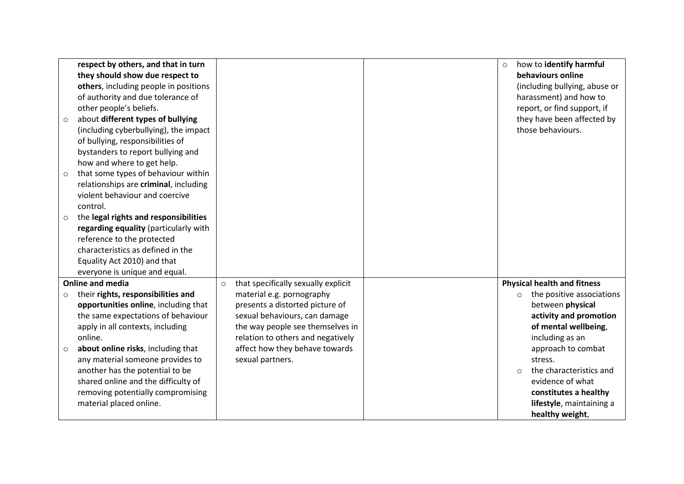|         | respect by others, and that in turn   |         |                                     | $\circ$ | how to identify harmful              |
|---------|---------------------------------------|---------|-------------------------------------|---------|--------------------------------------|
|         | they should show due respect to       |         |                                     |         | behaviours online                    |
|         | others, including people in positions |         |                                     |         | (including bullying, abuse or        |
|         | of authority and due tolerance of     |         |                                     |         | harassment) and how to               |
|         | other people's beliefs.               |         |                                     |         | report, or find support, if          |
| $\circ$ | about different types of bullying     |         |                                     |         | they have been affected by           |
|         | (including cyberbullying), the impact |         |                                     |         | those behaviours.                    |
|         | of bullying, responsibilities of      |         |                                     |         |                                      |
|         | bystanders to report bullying and     |         |                                     |         |                                      |
|         | how and where to get help.            |         |                                     |         |                                      |
| $\circ$ | that some types of behaviour within   |         |                                     |         |                                      |
|         | relationships are criminal, including |         |                                     |         |                                      |
|         | violent behaviour and coercive        |         |                                     |         |                                      |
|         | control.                              |         |                                     |         |                                      |
| $\circ$ | the legal rights and responsibilities |         |                                     |         |                                      |
|         | regarding equality (particularly with |         |                                     |         |                                      |
|         | reference to the protected            |         |                                     |         |                                      |
|         | characteristics as defined in the     |         |                                     |         |                                      |
|         | Equality Act 2010) and that           |         |                                     |         |                                      |
|         | everyone is unique and equal.         |         |                                     |         |                                      |
|         | <b>Online and media</b>               | $\circ$ | that specifically sexually explicit |         | <b>Physical health and fitness</b>   |
| $\circ$ | their rights, responsibilities and    |         | material e.g. pornography           |         | the positive associations<br>$\circ$ |
|         | opportunities online, including that  |         | presents a distorted picture of     |         | between physical                     |
|         | the same expectations of behaviour    |         | sexual behaviours, can damage       |         | activity and promotion               |
|         | apply in all contexts, including      |         | the way people see themselves in    |         | of mental wellbeing,                 |
|         | online.                               |         | relation to others and negatively   |         | including as an                      |
| $\circ$ | about online risks, including that    |         | affect how they behave towards      |         | approach to combat                   |
|         | any material someone provides to      |         | sexual partners.                    |         | stress.                              |
|         | another has the potential to be       |         |                                     |         | the characteristics and<br>$\Omega$  |
|         | shared online and the difficulty of   |         |                                     |         | evidence of what                     |
|         | removing potentially compromising     |         |                                     |         | constitutes a healthy                |
|         | material placed online.               |         |                                     |         | lifestyle, maintaining a             |
|         |                                       |         |                                     |         | healthy weight,                      |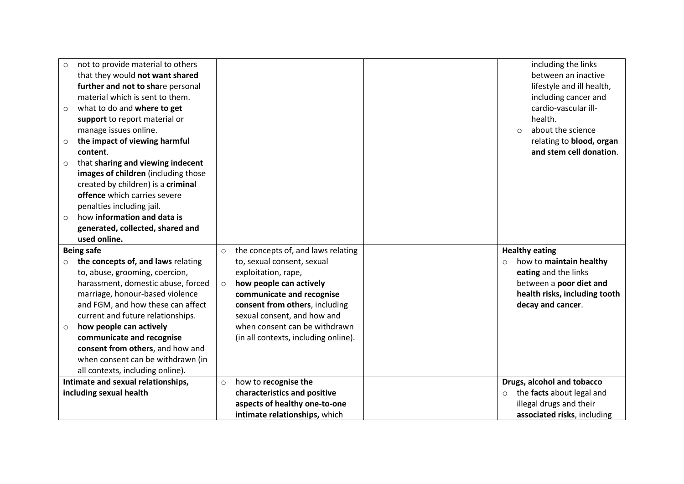| $\circ$<br>$\circ$<br>$\circ$ | not to provide material to others<br>that they would not want shared<br>further and not to share personal<br>material which is sent to them.<br>what to do and where to get<br>support to report material or<br>manage issues online.<br>the impact of viewing harmful<br>content. |         |                                                               | $\Omega$ | including the links<br>between an inactive<br>lifestyle and ill health,<br>including cancer and<br>cardio-vascular ill-<br>health.<br>about the science<br>relating to blood, organ<br>and stem cell donation. |
|-------------------------------|------------------------------------------------------------------------------------------------------------------------------------------------------------------------------------------------------------------------------------------------------------------------------------|---------|---------------------------------------------------------------|----------|----------------------------------------------------------------------------------------------------------------------------------------------------------------------------------------------------------------|
| $\circ$<br>$\circ$            | that sharing and viewing indecent<br>images of children (including those<br>created by children) is a criminal<br>offence which carries severe<br>penalties including jail.<br>how information and data is<br>generated, collected, shared and<br>used online.                     |         |                                                               |          |                                                                                                                                                                                                                |
| <b>Being safe</b>             |                                                                                                                                                                                                                                                                                    | $\circ$ | the concepts of, and laws relating                            |          | <b>Healthy eating</b>                                                                                                                                                                                          |
| $\circ$                       | the concepts of, and laws relating                                                                                                                                                                                                                                                 |         | to, sexual consent, sexual                                    | $\Omega$ | how to maintain healthy                                                                                                                                                                                        |
|                               | to, abuse, grooming, coercion,                                                                                                                                                                                                                                                     |         | exploitation, rape,                                           |          | eating and the links                                                                                                                                                                                           |
|                               | harassment, domestic abuse, forced                                                                                                                                                                                                                                                 | $\circ$ | how people can actively                                       |          | between a poor diet and                                                                                                                                                                                        |
|                               | marriage, honour-based violence                                                                                                                                                                                                                                                    |         | communicate and recognise                                     |          | health risks, including tooth                                                                                                                                                                                  |
|                               | and FGM, and how these can affect<br>current and future relationships.                                                                                                                                                                                                             |         | consent from others, including<br>sexual consent, and how and |          | decay and cancer.                                                                                                                                                                                              |
| $\circ$                       | how people can actively                                                                                                                                                                                                                                                            |         | when consent can be withdrawn                                 |          |                                                                                                                                                                                                                |
|                               | communicate and recognise                                                                                                                                                                                                                                                          |         | (in all contexts, including online).                          |          |                                                                                                                                                                                                                |
|                               | consent from others, and how and                                                                                                                                                                                                                                                   |         |                                                               |          |                                                                                                                                                                                                                |
|                               | when consent can be withdrawn (in                                                                                                                                                                                                                                                  |         |                                                               |          |                                                                                                                                                                                                                |
|                               | all contexts, including online).                                                                                                                                                                                                                                                   |         |                                                               |          |                                                                                                                                                                                                                |
|                               | Intimate and sexual relationships,                                                                                                                                                                                                                                                 | $\circ$ | how to recognise the                                          |          | Drugs, alcohol and tobacco                                                                                                                                                                                     |
|                               | including sexual health                                                                                                                                                                                                                                                            |         | characteristics and positive                                  | $\circ$  | the facts about legal and                                                                                                                                                                                      |
|                               |                                                                                                                                                                                                                                                                                    |         | aspects of healthy one-to-one                                 |          | illegal drugs and their                                                                                                                                                                                        |
|                               |                                                                                                                                                                                                                                                                                    |         | intimate relationships, which                                 |          | associated risks, including                                                                                                                                                                                    |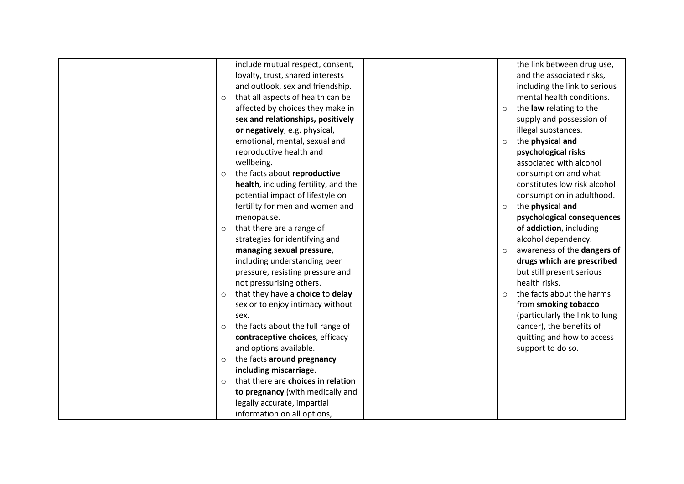| the link between drug use,<br>include mutual respect, consent,<br>and the associated risks,<br>loyalty, trust, shared interests<br>and outlook, sex and friendship.<br>including the link to serious<br>mental health conditions.<br>that all aspects of health can be<br>$\circ$<br>affected by choices they make in<br>the law relating to the<br>$\circ$<br>sex and relationships, positively<br>supply and possession of<br>or negatively, e.g. physical,<br>illegal substances.<br>emotional, mental, sexual and<br>the physical and<br>$\circ$<br>reproductive health and<br>psychological risks<br>associated with alcohol<br>wellbeing.<br>the facts about reproductive<br>consumption and what<br>$\circ$<br>health, including fertility, and the<br>constitutes low risk alcohol<br>potential impact of lifestyle on<br>consumption in adulthood.<br>fertility for men and women and<br>the physical and<br>$\circ$<br>psychological consequences<br>menopause.<br>that there are a range of<br>of addiction, including<br>$\circ$<br>alcohol dependency.<br>strategies for identifying and<br>awareness of the dangers of<br>managing sexual pressure,<br>$\circ$<br>drugs which are prescribed<br>including understanding peer<br>but still present serious<br>pressure, resisting pressure and<br>health risks.<br>not pressurising others.<br>the facts about the harms<br>that they have a choice to delay<br>$\circ$<br>$\Omega$<br>sex or to enjoy intimacy without<br>from smoking tobacco<br>(particularly the link to lung<br>sex.<br>cancer), the benefits of<br>the facts about the full range of<br>$\circ$<br>contraceptive choices, efficacy<br>quitting and how to access<br>and options available.<br>support to do so.<br>the facts around pregnancy<br>$\circ$<br>including miscarriage.<br>that there are choices in relation<br>$\circ$<br>to pregnancy (with medically and<br>legally accurate, impartial<br>information on all options, |  |  |  |
|--------------------------------------------------------------------------------------------------------------------------------------------------------------------------------------------------------------------------------------------------------------------------------------------------------------------------------------------------------------------------------------------------------------------------------------------------------------------------------------------------------------------------------------------------------------------------------------------------------------------------------------------------------------------------------------------------------------------------------------------------------------------------------------------------------------------------------------------------------------------------------------------------------------------------------------------------------------------------------------------------------------------------------------------------------------------------------------------------------------------------------------------------------------------------------------------------------------------------------------------------------------------------------------------------------------------------------------------------------------------------------------------------------------------------------------------------------------------------------------------------------------------------------------------------------------------------------------------------------------------------------------------------------------------------------------------------------------------------------------------------------------------------------------------------------------------------------------------------------------------------------------------------------------------------------------------------------------------------|--|--|--|
|                                                                                                                                                                                                                                                                                                                                                                                                                                                                                                                                                                                                                                                                                                                                                                                                                                                                                                                                                                                                                                                                                                                                                                                                                                                                                                                                                                                                                                                                                                                                                                                                                                                                                                                                                                                                                                                                                                                                                                          |  |  |  |
|                                                                                                                                                                                                                                                                                                                                                                                                                                                                                                                                                                                                                                                                                                                                                                                                                                                                                                                                                                                                                                                                                                                                                                                                                                                                                                                                                                                                                                                                                                                                                                                                                                                                                                                                                                                                                                                                                                                                                                          |  |  |  |
|                                                                                                                                                                                                                                                                                                                                                                                                                                                                                                                                                                                                                                                                                                                                                                                                                                                                                                                                                                                                                                                                                                                                                                                                                                                                                                                                                                                                                                                                                                                                                                                                                                                                                                                                                                                                                                                                                                                                                                          |  |  |  |
|                                                                                                                                                                                                                                                                                                                                                                                                                                                                                                                                                                                                                                                                                                                                                                                                                                                                                                                                                                                                                                                                                                                                                                                                                                                                                                                                                                                                                                                                                                                                                                                                                                                                                                                                                                                                                                                                                                                                                                          |  |  |  |
|                                                                                                                                                                                                                                                                                                                                                                                                                                                                                                                                                                                                                                                                                                                                                                                                                                                                                                                                                                                                                                                                                                                                                                                                                                                                                                                                                                                                                                                                                                                                                                                                                                                                                                                                                                                                                                                                                                                                                                          |  |  |  |
|                                                                                                                                                                                                                                                                                                                                                                                                                                                                                                                                                                                                                                                                                                                                                                                                                                                                                                                                                                                                                                                                                                                                                                                                                                                                                                                                                                                                                                                                                                                                                                                                                                                                                                                                                                                                                                                                                                                                                                          |  |  |  |
|                                                                                                                                                                                                                                                                                                                                                                                                                                                                                                                                                                                                                                                                                                                                                                                                                                                                                                                                                                                                                                                                                                                                                                                                                                                                                                                                                                                                                                                                                                                                                                                                                                                                                                                                                                                                                                                                                                                                                                          |  |  |  |
|                                                                                                                                                                                                                                                                                                                                                                                                                                                                                                                                                                                                                                                                                                                                                                                                                                                                                                                                                                                                                                                                                                                                                                                                                                                                                                                                                                                                                                                                                                                                                                                                                                                                                                                                                                                                                                                                                                                                                                          |  |  |  |
|                                                                                                                                                                                                                                                                                                                                                                                                                                                                                                                                                                                                                                                                                                                                                                                                                                                                                                                                                                                                                                                                                                                                                                                                                                                                                                                                                                                                                                                                                                                                                                                                                                                                                                                                                                                                                                                                                                                                                                          |  |  |  |
|                                                                                                                                                                                                                                                                                                                                                                                                                                                                                                                                                                                                                                                                                                                                                                                                                                                                                                                                                                                                                                                                                                                                                                                                                                                                                                                                                                                                                                                                                                                                                                                                                                                                                                                                                                                                                                                                                                                                                                          |  |  |  |
|                                                                                                                                                                                                                                                                                                                                                                                                                                                                                                                                                                                                                                                                                                                                                                                                                                                                                                                                                                                                                                                                                                                                                                                                                                                                                                                                                                                                                                                                                                                                                                                                                                                                                                                                                                                                                                                                                                                                                                          |  |  |  |
|                                                                                                                                                                                                                                                                                                                                                                                                                                                                                                                                                                                                                                                                                                                                                                                                                                                                                                                                                                                                                                                                                                                                                                                                                                                                                                                                                                                                                                                                                                                                                                                                                                                                                                                                                                                                                                                                                                                                                                          |  |  |  |
|                                                                                                                                                                                                                                                                                                                                                                                                                                                                                                                                                                                                                                                                                                                                                                                                                                                                                                                                                                                                                                                                                                                                                                                                                                                                                                                                                                                                                                                                                                                                                                                                                                                                                                                                                                                                                                                                                                                                                                          |  |  |  |
|                                                                                                                                                                                                                                                                                                                                                                                                                                                                                                                                                                                                                                                                                                                                                                                                                                                                                                                                                                                                                                                                                                                                                                                                                                                                                                                                                                                                                                                                                                                                                                                                                                                                                                                                                                                                                                                                                                                                                                          |  |  |  |
|                                                                                                                                                                                                                                                                                                                                                                                                                                                                                                                                                                                                                                                                                                                                                                                                                                                                                                                                                                                                                                                                                                                                                                                                                                                                                                                                                                                                                                                                                                                                                                                                                                                                                                                                                                                                                                                                                                                                                                          |  |  |  |
|                                                                                                                                                                                                                                                                                                                                                                                                                                                                                                                                                                                                                                                                                                                                                                                                                                                                                                                                                                                                                                                                                                                                                                                                                                                                                                                                                                                                                                                                                                                                                                                                                                                                                                                                                                                                                                                                                                                                                                          |  |  |  |
|                                                                                                                                                                                                                                                                                                                                                                                                                                                                                                                                                                                                                                                                                                                                                                                                                                                                                                                                                                                                                                                                                                                                                                                                                                                                                                                                                                                                                                                                                                                                                                                                                                                                                                                                                                                                                                                                                                                                                                          |  |  |  |
|                                                                                                                                                                                                                                                                                                                                                                                                                                                                                                                                                                                                                                                                                                                                                                                                                                                                                                                                                                                                                                                                                                                                                                                                                                                                                                                                                                                                                                                                                                                                                                                                                                                                                                                                                                                                                                                                                                                                                                          |  |  |  |
|                                                                                                                                                                                                                                                                                                                                                                                                                                                                                                                                                                                                                                                                                                                                                                                                                                                                                                                                                                                                                                                                                                                                                                                                                                                                                                                                                                                                                                                                                                                                                                                                                                                                                                                                                                                                                                                                                                                                                                          |  |  |  |
|                                                                                                                                                                                                                                                                                                                                                                                                                                                                                                                                                                                                                                                                                                                                                                                                                                                                                                                                                                                                                                                                                                                                                                                                                                                                                                                                                                                                                                                                                                                                                                                                                                                                                                                                                                                                                                                                                                                                                                          |  |  |  |
|                                                                                                                                                                                                                                                                                                                                                                                                                                                                                                                                                                                                                                                                                                                                                                                                                                                                                                                                                                                                                                                                                                                                                                                                                                                                                                                                                                                                                                                                                                                                                                                                                                                                                                                                                                                                                                                                                                                                                                          |  |  |  |
|                                                                                                                                                                                                                                                                                                                                                                                                                                                                                                                                                                                                                                                                                                                                                                                                                                                                                                                                                                                                                                                                                                                                                                                                                                                                                                                                                                                                                                                                                                                                                                                                                                                                                                                                                                                                                                                                                                                                                                          |  |  |  |
|                                                                                                                                                                                                                                                                                                                                                                                                                                                                                                                                                                                                                                                                                                                                                                                                                                                                                                                                                                                                                                                                                                                                                                                                                                                                                                                                                                                                                                                                                                                                                                                                                                                                                                                                                                                                                                                                                                                                                                          |  |  |  |
|                                                                                                                                                                                                                                                                                                                                                                                                                                                                                                                                                                                                                                                                                                                                                                                                                                                                                                                                                                                                                                                                                                                                                                                                                                                                                                                                                                                                                                                                                                                                                                                                                                                                                                                                                                                                                                                                                                                                                                          |  |  |  |
|                                                                                                                                                                                                                                                                                                                                                                                                                                                                                                                                                                                                                                                                                                                                                                                                                                                                                                                                                                                                                                                                                                                                                                                                                                                                                                                                                                                                                                                                                                                                                                                                                                                                                                                                                                                                                                                                                                                                                                          |  |  |  |
|                                                                                                                                                                                                                                                                                                                                                                                                                                                                                                                                                                                                                                                                                                                                                                                                                                                                                                                                                                                                                                                                                                                                                                                                                                                                                                                                                                                                                                                                                                                                                                                                                                                                                                                                                                                                                                                                                                                                                                          |  |  |  |
|                                                                                                                                                                                                                                                                                                                                                                                                                                                                                                                                                                                                                                                                                                                                                                                                                                                                                                                                                                                                                                                                                                                                                                                                                                                                                                                                                                                                                                                                                                                                                                                                                                                                                                                                                                                                                                                                                                                                                                          |  |  |  |
|                                                                                                                                                                                                                                                                                                                                                                                                                                                                                                                                                                                                                                                                                                                                                                                                                                                                                                                                                                                                                                                                                                                                                                                                                                                                                                                                                                                                                                                                                                                                                                                                                                                                                                                                                                                                                                                                                                                                                                          |  |  |  |
|                                                                                                                                                                                                                                                                                                                                                                                                                                                                                                                                                                                                                                                                                                                                                                                                                                                                                                                                                                                                                                                                                                                                                                                                                                                                                                                                                                                                                                                                                                                                                                                                                                                                                                                                                                                                                                                                                                                                                                          |  |  |  |
|                                                                                                                                                                                                                                                                                                                                                                                                                                                                                                                                                                                                                                                                                                                                                                                                                                                                                                                                                                                                                                                                                                                                                                                                                                                                                                                                                                                                                                                                                                                                                                                                                                                                                                                                                                                                                                                                                                                                                                          |  |  |  |
|                                                                                                                                                                                                                                                                                                                                                                                                                                                                                                                                                                                                                                                                                                                                                                                                                                                                                                                                                                                                                                                                                                                                                                                                                                                                                                                                                                                                                                                                                                                                                                                                                                                                                                                                                                                                                                                                                                                                                                          |  |  |  |
|                                                                                                                                                                                                                                                                                                                                                                                                                                                                                                                                                                                                                                                                                                                                                                                                                                                                                                                                                                                                                                                                                                                                                                                                                                                                                                                                                                                                                                                                                                                                                                                                                                                                                                                                                                                                                                                                                                                                                                          |  |  |  |
|                                                                                                                                                                                                                                                                                                                                                                                                                                                                                                                                                                                                                                                                                                                                                                                                                                                                                                                                                                                                                                                                                                                                                                                                                                                                                                                                                                                                                                                                                                                                                                                                                                                                                                                                                                                                                                                                                                                                                                          |  |  |  |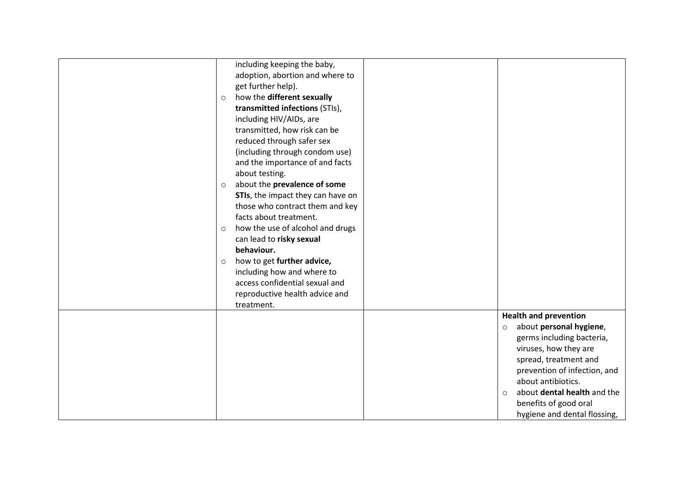| $\circ$<br>$\circ$<br>$\circ$<br>$\circ$ | including keeping the baby,<br>adoption, abortion and where to<br>get further help).<br>how the different sexually<br>transmitted infections (STIs),<br>including HIV/AIDs, are<br>transmitted, how risk can be<br>reduced through safer sex<br>(including through condom use)<br>and the importance of and facts<br>about testing.<br>about the prevalence of some<br>STIs, the impact they can have on<br>those who contract them and key<br>facts about treatment.<br>how the use of alcohol and drugs<br>can lead to risky sexual<br>behaviour.<br>how to get further advice,<br>including how and where to<br>access confidential sexual and<br>reproductive health advice and |                    |                                                                                                                                                                                                                                                                                      |
|------------------------------------------|-------------------------------------------------------------------------------------------------------------------------------------------------------------------------------------------------------------------------------------------------------------------------------------------------------------------------------------------------------------------------------------------------------------------------------------------------------------------------------------------------------------------------------------------------------------------------------------------------------------------------------------------------------------------------------------|--------------------|--------------------------------------------------------------------------------------------------------------------------------------------------------------------------------------------------------------------------------------------------------------------------------------|
|                                          | treatment.                                                                                                                                                                                                                                                                                                                                                                                                                                                                                                                                                                                                                                                                          |                    |                                                                                                                                                                                                                                                                                      |
|                                          |                                                                                                                                                                                                                                                                                                                                                                                                                                                                                                                                                                                                                                                                                     | $\circ$<br>$\circ$ | <b>Health and prevention</b><br>about personal hygiene,<br>germs including bacteria,<br>viruses, how they are<br>spread, treatment and<br>prevention of infection, and<br>about antibiotics.<br>about dental health and the<br>benefits of good oral<br>hygiene and dental flossing, |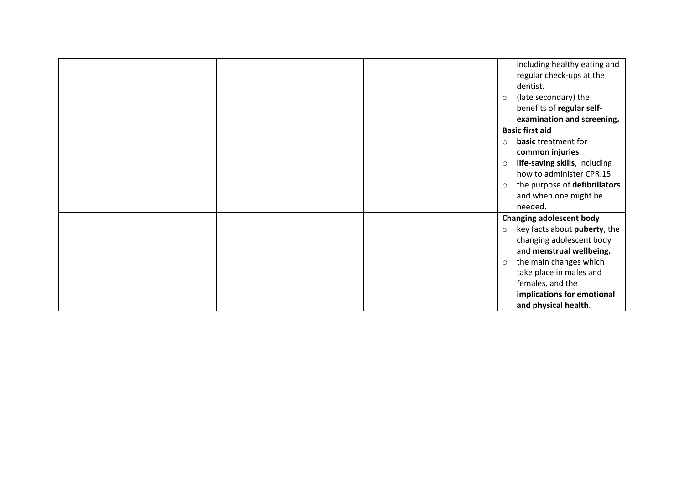|  | including healthy eating and             |
|--|------------------------------------------|
|  | regular check-ups at the                 |
|  | dentist.                                 |
|  | (late secondary) the<br>$\circ$          |
|  | benefits of regular self-                |
|  | examination and screening.               |
|  | <b>Basic first aid</b>                   |
|  | basic treatment for<br>$\circ$           |
|  | common injuries.                         |
|  | life-saving skills, including<br>$\circ$ |
|  | how to administer CPR.15                 |
|  | the purpose of defibrillators<br>$\circ$ |
|  | and when one might be                    |
|  | needed.                                  |
|  | <b>Changing adolescent body</b>          |
|  | key facts about puberty, the<br>$\circ$  |
|  | changing adolescent body                 |
|  | and menstrual wellbeing.                 |
|  | the main changes which<br>$\circ$        |
|  | take place in males and                  |
|  | females, and the                         |
|  | implications for emotional               |
|  | and physical health.                     |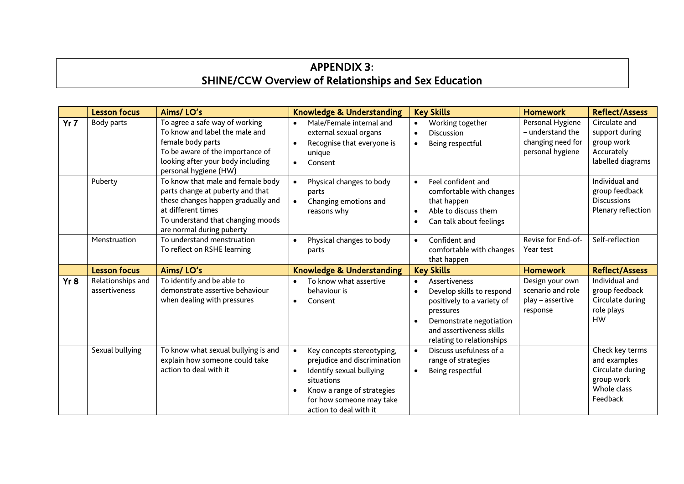# APPENDIX 3: SHINE/CCW Overview of Relationships and Sex Education

|     | <b>Lesson focus</b>                | Aims/LO's                                                                                                                                                                                           | <b>Knowledge &amp; Understanding</b>                                                                                                                                                                               | <b>Key Skills</b>                                                                                                                                                                                                       | <b>Homework</b>                                                               | <b>Reflect/Assess</b>                                                                        |
|-----|------------------------------------|-----------------------------------------------------------------------------------------------------------------------------------------------------------------------------------------------------|--------------------------------------------------------------------------------------------------------------------------------------------------------------------------------------------------------------------|-------------------------------------------------------------------------------------------------------------------------------------------------------------------------------------------------------------------------|-------------------------------------------------------------------------------|----------------------------------------------------------------------------------------------|
| Yr7 | Body parts                         | To agree a safe way of working<br>To know and label the male and<br>female body parts<br>To be aware of the importance of<br>looking after your body including<br>personal hygiene (HW)             | Male/Female internal and<br>$\bullet$<br>external sexual organs<br>Recognise that everyone is<br>unique<br>Consent                                                                                                 | Working together<br>$\bullet$<br><b>Discussion</b><br>$\bullet$<br>Being respectful<br>$\bullet$                                                                                                                        | Personal Hygiene<br>- understand the<br>changing need for<br>personal hygiene | Circulate and<br>support during<br>group work<br>Accurately<br>labelled diagrams             |
|     | Puberty                            | To know that male and female body<br>parts change at puberty and that<br>these changes happen gradually and<br>at different times<br>To understand that changing moods<br>are normal during puberty | Physical changes to body<br>parts<br>Changing emotions and<br>reasons why                                                                                                                                          | Feel confident and<br>$\bullet$<br>comfortable with changes<br>that happen<br>Able to discuss them<br>$\bullet$<br>Can talk about feelings<br>$\bullet$                                                                 |                                                                               | Individual and<br>group feedback<br><b>Discussions</b><br>Plenary reflection                 |
|     | Menstruation                       | To understand menstruation<br>To reflect on RSHE learning                                                                                                                                           | Physical changes to body<br>$\bullet$<br>parts                                                                                                                                                                     | Confident and<br>$\bullet$<br>comfortable with changes<br>that happen                                                                                                                                                   | Revise for End-of-<br>Year test                                               | Self-reflection                                                                              |
|     | <b>Lesson focus</b>                | Aims/LO's                                                                                                                                                                                           | Knowledge & Understanding                                                                                                                                                                                          | <b>Key Skills</b>                                                                                                                                                                                                       | <b>Homework</b>                                                               | <b>Reflect/Assess</b>                                                                        |
| Yr8 | Relationships and<br>assertiveness | To identify and be able to<br>demonstrate assertive behaviour<br>when dealing with pressures                                                                                                        | To know what assertive<br>behaviour is<br>Consent<br>$\bullet$                                                                                                                                                     | <b>Assertiveness</b><br>$\bullet$<br>Develop skills to respond<br>$\bullet$<br>positively to a variety of<br>pressures<br>Demonstrate negotiation<br>$\bullet$<br>and assertiveness skills<br>relating to relationships | Design your own<br>scenario and role<br>play – assertive<br>response          | Individual and<br>group feedback<br>Circulate during<br>role plays<br><b>HW</b>              |
|     | Sexual bullying                    | To know what sexual bullying is and<br>explain how someone could take<br>action to deal with it                                                                                                     | Key concepts stereotyping,<br>$\bullet$<br>prejudice and discrimination<br>Identify sexual bullying<br>$\bullet$<br>situations<br>Know a range of strategies<br>for how someone may take<br>action to deal with it | Discuss usefulness of a<br>$\bullet$<br>range of strategies<br>Being respectful<br>$\bullet$                                                                                                                            |                                                                               | Check key terms<br>and examples<br>Circulate during<br>group work<br>Whole class<br>Feedback |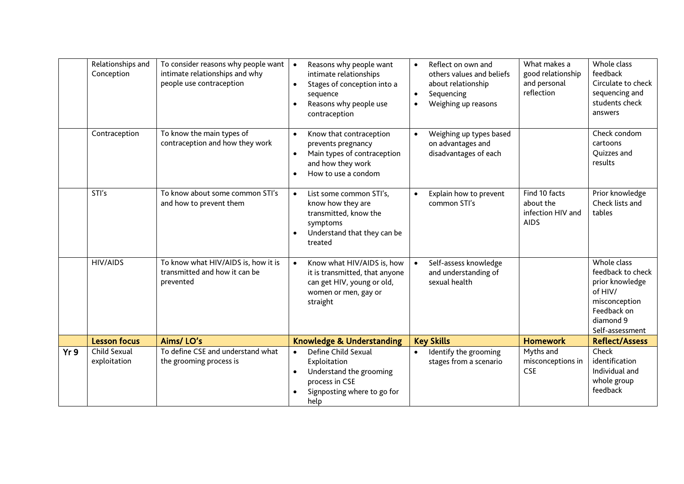|     | Relationships and<br>Conception | To consider reasons why people want<br>intimate relationships and why<br>people use contraception | Reasons why people want<br>$\bullet$<br>intimate relationships<br>Stages of conception into a<br>$\bullet$<br>sequence<br>Reasons why people use<br>$\bullet$<br>contraception | Reflect on own and<br>$\bullet$<br>others values and beliefs<br>about relationship<br>Sequencing<br>$\bullet$<br>Weighing up reasons<br>$\bullet$ | What makes a<br>good relationship<br>and personal<br>reflection | Whole class<br>feedback<br>Circulate to check<br>sequencing and<br>students check<br>answers                                   |
|-----|---------------------------------|---------------------------------------------------------------------------------------------------|--------------------------------------------------------------------------------------------------------------------------------------------------------------------------------|---------------------------------------------------------------------------------------------------------------------------------------------------|-----------------------------------------------------------------|--------------------------------------------------------------------------------------------------------------------------------|
|     | Contraception                   | To know the main types of<br>contraception and how they work                                      | Know that contraception<br>$\bullet$<br>prevents pregnancy<br>Main types of contraception<br>$\bullet$<br>and how they work<br>How to use a condom<br>$\bullet$                | Weighing up types based<br>$\bullet$<br>on advantages and<br>disadvantages of each                                                                |                                                                 | Check condom<br>cartoons<br><b>Ouizzes</b> and<br>results                                                                      |
|     | STI's                           | To know about some common STI's<br>and how to prevent them                                        | List some common STI's,<br>$\bullet$<br>know how they are<br>transmitted, know the<br>symptoms<br>Understand that they can be<br>$\bullet$<br>treated                          | Explain how to prevent<br>$\bullet$<br>common STI's                                                                                               | Find 10 facts<br>about the<br>infection HIV and<br><b>AIDS</b>  | Prior knowledge<br>Check lists and<br>tables                                                                                   |
|     | <b>HIV/AIDS</b>                 | To know what HIV/AIDS is, how it is<br>transmitted and how it can be<br>prevented                 | Know what HIV/AIDS is, how<br>$\bullet$<br>it is transmitted, that anyone<br>can get HIV, young or old,<br>women or men, gay or<br>straight                                    | Self-assess knowledge<br>$\bullet$<br>and understanding of<br>sexual health                                                                       |                                                                 | Whole class<br>feedback to check<br>prior knowledge<br>of HIV/<br>misconception<br>Feedback on<br>diamond 9<br>Self-assessment |
|     | <b>Lesson focus</b>             | Aims/LO's                                                                                         | <b>Knowledge &amp; Understanding</b>                                                                                                                                           | <b>Key Skills</b>                                                                                                                                 | <b>Homework</b>                                                 | <b>Reflect/Assess</b>                                                                                                          |
| Yr9 | Child Sexual<br>exploitation    | To define CSE and understand what<br>the grooming process is                                      | Define Child Sexual<br>$\bullet$<br>Exploitation<br>Understand the grooming<br>$\bullet$<br>process in CSE<br>Signposting where to go for<br>help                              | Identify the grooming<br>$\bullet$<br>stages from a scenario                                                                                      | Myths and<br>misconceptions in<br><b>CSE</b>                    | Check<br>identification<br>Individual and<br>whole group<br>feedback                                                           |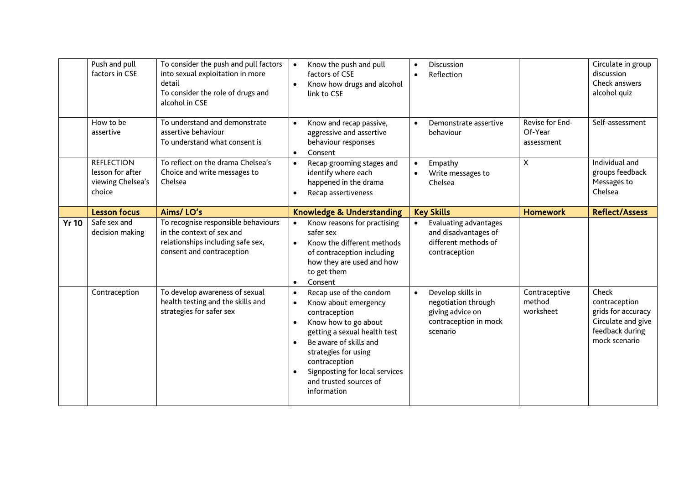|              | Push and pull<br>factors in CSE                                      | To consider the push and pull factors<br>into sexual exploitation in more<br>detail<br>To consider the role of drugs and<br>alcohol in CSE | Know the push and pull<br>$\bullet$<br>factors of CSE<br>Know how drugs and alcohol<br>link to CSE                                                                                                                                                                                                                         | Discussion<br>$\bullet$<br>Reflection                                                                          |                                          | Circulate in group<br>discussion<br>Check answers<br>alcohol quiz                                      |
|--------------|----------------------------------------------------------------------|--------------------------------------------------------------------------------------------------------------------------------------------|----------------------------------------------------------------------------------------------------------------------------------------------------------------------------------------------------------------------------------------------------------------------------------------------------------------------------|----------------------------------------------------------------------------------------------------------------|------------------------------------------|--------------------------------------------------------------------------------------------------------|
|              | How to be<br>assertive                                               | To understand and demonstrate<br>assertive behaviour<br>To understand what consent is                                                      | Know and recap passive,<br>$\bullet$<br>aggressive and assertive<br>behaviour responses<br>Consent<br>$\bullet$                                                                                                                                                                                                            | Demonstrate assertive<br>$\bullet$<br>behaviour                                                                | Revise for End-<br>Of-Year<br>assessment | Self-assessment                                                                                        |
|              | <b>REFLECTION</b><br>lesson for after<br>viewing Chelsea's<br>choice | To reflect on the drama Chelsea's<br>Choice and write messages to<br>Chelsea                                                               | Recap grooming stages and<br>$\bullet$<br>identify where each<br>happened in the drama<br>Recap assertiveness<br>$\bullet$                                                                                                                                                                                                 | Empathy<br>$\bullet$<br>Write messages to<br>Chelsea                                                           | $\boldsymbol{\mathsf{X}}$                | Individual and<br>groups feedback<br>Messages to<br>Chelsea                                            |
|              | <b>Lesson focus</b>                                                  | Aims/LO's                                                                                                                                  | <b>Knowledge &amp; Understanding</b>                                                                                                                                                                                                                                                                                       | <b>Key Skills</b>                                                                                              | <b>Homework</b>                          | <b>Reflect/Assess</b>                                                                                  |
| <b>Yr 10</b> | Safe sex and<br>decision making                                      | To recognise responsible behaviours<br>in the context of sex and<br>relationships including safe sex,<br>consent and contraception         | Know reasons for practising<br>$\bullet$<br>safer sex<br>Know the different methods<br>$\bullet$<br>of contraception including<br>how they are used and how<br>to get them<br>Consent<br>$\bullet$                                                                                                                         | Evaluating advantages<br>$\bullet$<br>and disadvantages of<br>different methods of<br>contraception            |                                          |                                                                                                        |
|              | Contraception                                                        | To develop awareness of sexual<br>health testing and the skills and<br>strategies for safer sex                                            | Recap use of the condom<br>$\bullet$<br>Know about emergency<br>$\bullet$<br>contraception<br>Know how to go about<br>$\bullet$<br>getting a sexual health test<br>Be aware of skills and<br>$\bullet$<br>strategies for using<br>contraception<br>Signposting for local services<br>and trusted sources of<br>information | Develop skills in<br>$\bullet$<br>negotiation through<br>giving advice on<br>contraception in mock<br>scenario | Contraceptive<br>method<br>worksheet     | Check<br>contraception<br>grids for accuracy<br>Circulate and give<br>feedback during<br>mock scenario |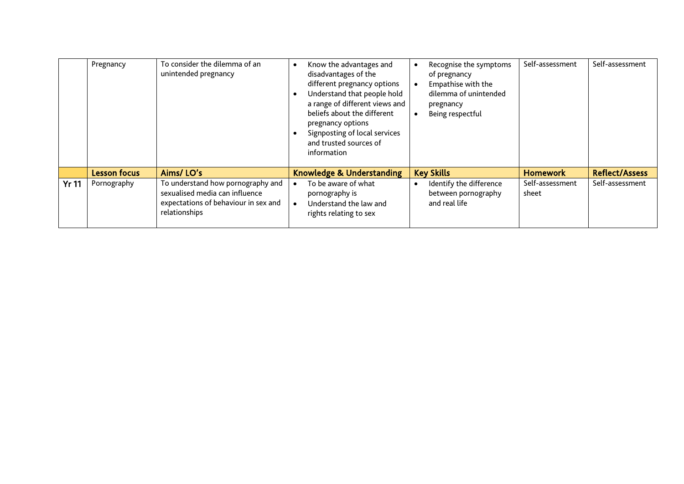|              | Pregnancy           | To consider the dilemma of an<br>unintended pregnancy                                                                        | Know the advantages and<br>disadvantages of the<br>different pregnancy options<br>Understand that people hold<br>$\bullet$<br>a range of different views and<br>beliefs about the different<br>pregnancy options<br>Signposting of local services<br>and trusted sources of<br>information |           | Recognise the symptoms<br>of pregnancy<br>Empathise with the<br>dilemma of unintended<br>pregnancy<br>Being respectful | Self-assessment          | Self-assessment       |
|--------------|---------------------|------------------------------------------------------------------------------------------------------------------------------|--------------------------------------------------------------------------------------------------------------------------------------------------------------------------------------------------------------------------------------------------------------------------------------------|-----------|------------------------------------------------------------------------------------------------------------------------|--------------------------|-----------------------|
|              | <b>Lesson focus</b> | Aims/LO's                                                                                                                    | <b>Knowledge &amp; Understanding</b>                                                                                                                                                                                                                                                       |           | <b>Key Skills</b>                                                                                                      | <b>Homework</b>          | <b>Reflect/Assess</b> |
| <b>Yr 11</b> | Pornography         | To understand how pornography and<br>sexualised media can influence<br>expectations of behaviour in sex and<br>relationships | To be aware of what<br>pornography is<br>Understand the law and<br>rights relating to sex                                                                                                                                                                                                  | $\bullet$ | Identify the difference<br>between pornography<br>and real life                                                        | Self-assessment<br>sheet | Self-assessment       |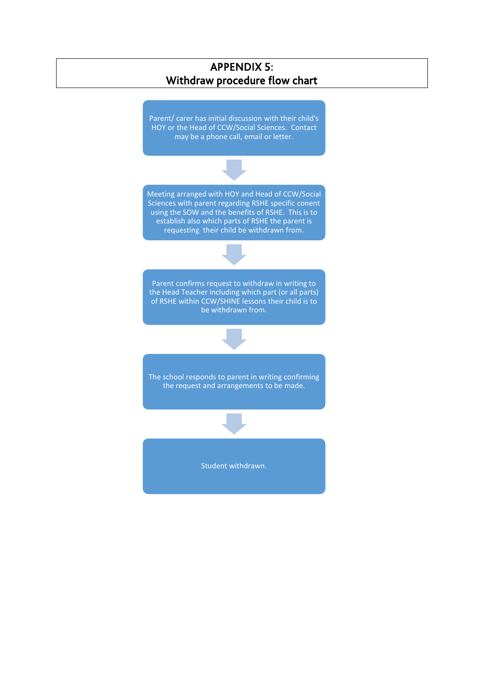# APPENDIX 5: Withdraw procedure flow chart

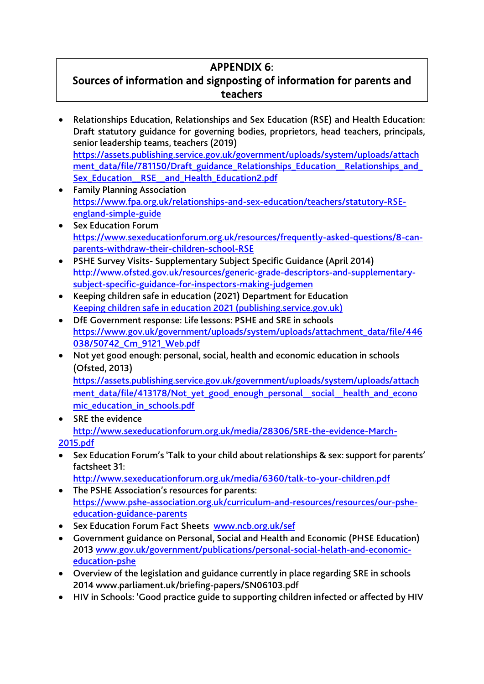# APPENDIX 6:

# Sources of information and signposting of information for parents and teachers

- Relationships Education, Relationships and Sex Education (RSE) and Health Education: Draft statutory guidance for governing bodies, proprietors, head teachers, principals, senior leadership teams, teachers (2019) [https://assets.publishing.service.gov.uk/government/uploads/system/uploads/attach](https://assets.publishing.service.gov.uk/government/uploads/system/uploads/attachment_data/file/781150/Draft_guidance_Relationships_Education__Relationships_and_Sex_Education__RSE__and_Health_Education2.pdf) ment\_data/file/781150/Draft\_guidance\_Relationships\_Education\_Relationships\_and\_ Sex Education RSE and Health Education2.pdf
- Family Planning Association [https://www.fpa.org.uk/relationships-and-sex-education/teachers/statutory-RSE](https://www.fpa.org.uk/relationships-and-sex-education/teachers/statutory-RSE-england-simple-guide)[england-simple-guide](https://www.fpa.org.uk/relationships-and-sex-education/teachers/statutory-RSE-england-simple-guide)
- Sex Education Forum [https://www.sexeducationforum.org.uk/resources/frequently-asked-questions/8-can](https://www.sexeducationforum.org.uk/resources/frequently-asked-questions/8-can-parents-withdraw-their-children-school-RSE)[parents-withdraw-their-children-school-RSE](https://www.sexeducationforum.org.uk/resources/frequently-asked-questions/8-can-parents-withdraw-their-children-school-RSE)
- PSHE Survey Visits- Supplementary Subject Specific Guidance (April 2014) [http://www.ofsted.gov.uk/resources/generic-grade-descriptors-and-supplementary](http://www.ofsted.gov.uk/resources/generic-grade-descriptors-and-supplementary-subject-specific-guidance-for-inspectors-making-judgemen)[subject-specific-guidance-for-inspectors-making-judgemen](http://www.ofsted.gov.uk/resources/generic-grade-descriptors-and-supplementary-subject-specific-guidance-for-inspectors-making-judgemen)
- Keeping children safe in education (2021) Department for Education [Keeping children safe in education 2021 \(publishing.service.gov.uk\)](https://assets.publishing.service.gov.uk/government/uploads/system/uploads/attachment_data/file/1021914/KCSIE_2021_September_guidance.pdf)
- DfE Government response: Life lessons: PSHE and SRE in schools [https://www.gov.uk/government/uploads/system/uploads/attachment\\_data/file/446](https://www.gov.uk/government/uploads/system/uploads/attachment_data/file/446038/50742_Cm_9121_Web.pdf) [038/50742\\_Cm\\_9121\\_Web.pdf](https://www.gov.uk/government/uploads/system/uploads/attachment_data/file/446038/50742_Cm_9121_Web.pdf)
- Not yet good enough: personal, social, health and economic education in schools (Ofsted, 2013) [https://assets.publishing.service.gov.uk/government/uploads/system/uploads/attach](https://assets.publishing.service.gov.uk/government/uploads/system/uploads/attachment_data/file/413178/Not_yet_good_enough_personal__social__health_and_economic_education_in_schools.pdf)

ment\_data/file/413178/Not\_yet\_good\_enough\_personal\_social\_health\_and\_econo [mic\\_education\\_in\\_schools.pdf](https://assets.publishing.service.gov.uk/government/uploads/system/uploads/attachment_data/file/413178/Not_yet_good_enough_personal__social__health_and_economic_education_in_schools.pdf)

- SRE the evidence [http://www.sexeducationforum.org.uk/media/28306/SRE-the-evidence-March-](http://www.sexeducationforum.org.uk/media/28306/SRE-the-evidence-March-2015.pdf)[2015.pdf](http://www.sexeducationforum.org.uk/media/28306/SRE-the-evidence-March-2015.pdf)
- Sex Education Forum's 'Talk to your child about relationships & sex: support for parents' factsheet 31:
	- <http://www.sexeducationforum.org.uk/media/6360/talk-to-your-children.pdf>
- The PSHE Association's resources for parents: [https://www.pshe-association.org.uk/curriculum-and-resources/resources/our-pshe](https://www.pshe-association.org.uk/curriculum-and-resources/resources/our-pshe-education-guidance-parents)[education-guidance-parents](https://www.pshe-association.org.uk/curriculum-and-resources/resources/our-pshe-education-guidance-parents)
- Sex Education Forum Fact Sheets [www.ncb.org.uk/sef](http://www.ncb.org.uk/sef)
- Government guidance on Personal, Social and Health and Economic (PHSE Education) 2013 [www.gov.uk/government/publications/personal-social-helath-and-economic](http://www.gov.uk/government/publications/personal-social-helath-and-economic-education-pshe)[education-pshe](http://www.gov.uk/government/publications/personal-social-helath-and-economic-education-pshe)
- Overview of the legislation and guidance currently in place regarding SRE in schools 2014 www.parliament.uk/briefing-papers/SN06103.pdf
- HIV in Schools: 'Good practice guide to supporting children infected or affected by HIV